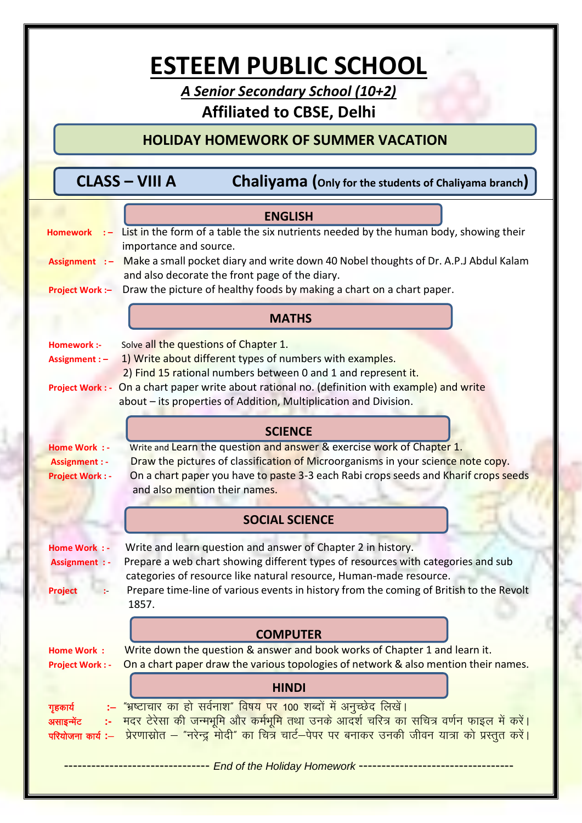# **ESTEEM PUBLIC SCHOOL**

A Senior Secondary School (10+2)

## **Affiliated to CBSE, Delhi**

## **HOLIDAY HOMEWORK OF SUMMER VACATION**

| CLASS – VIII A |  | <b>Chaliyama</b> (Only for the students of Chaliyama branch) |
|----------------|--|--------------------------------------------------------------|
|----------------|--|--------------------------------------------------------------|

|                                                                                                                                                                    | <b>ENGLISH</b>                                                                                                                        |  |  |
|--------------------------------------------------------------------------------------------------------------------------------------------------------------------|---------------------------------------------------------------------------------------------------------------------------------------|--|--|
| <b>Homework</b>                                                                                                                                                    | $\cdot$ List in the form of a table the six nutrients needed by the human body, showing their                                         |  |  |
|                                                                                                                                                                    | importance and source.                                                                                                                |  |  |
| Assignment : -                                                                                                                                                     | Make a small pocket diary and write down 40 Nobel thoughts of Dr. A.P.J Abdul Kalam<br>and also decorate the front page of the diary. |  |  |
| <b>Project Work:-</b>                                                                                                                                              | Draw the picture of healthy foods by making a chart on a chart paper.                                                                 |  |  |
|                                                                                                                                                                    |                                                                                                                                       |  |  |
|                                                                                                                                                                    | <b>MATHS</b>                                                                                                                          |  |  |
| Homework :-                                                                                                                                                        | Solve all the questions of Chapter 1.                                                                                                 |  |  |
| 1) Write about different types of numbers with examples.<br>Assignment : -                                                                                         |                                                                                                                                       |  |  |
|                                                                                                                                                                    | 2) Find 15 rational numbers between 0 and 1 and represent it.                                                                         |  |  |
| Project Work : - On a chart paper write about rational no. (definition with example) and write<br>about – its properties of Addition, Multiplication and Division. |                                                                                                                                       |  |  |
|                                                                                                                                                                    |                                                                                                                                       |  |  |
|                                                                                                                                                                    | <b>SCIENCE</b>                                                                                                                        |  |  |
| <b>Home Work : -</b>                                                                                                                                               | Write and Learn the question and answer & exercise work of Chapter 1.                                                                 |  |  |
| <b>Assignment : -</b>                                                                                                                                              | Draw the pictures of classification of Microorganisms in your science note copy.                                                      |  |  |
| <b>Project Work: -</b>                                                                                                                                             | On a chart paper you have to paste 3-3 each Rabi crops seeds and Kharif crops seeds<br>and also mention their names.                  |  |  |
|                                                                                                                                                                    |                                                                                                                                       |  |  |
|                                                                                                                                                                    | <b>SOCIAL SCIENCE</b>                                                                                                                 |  |  |
| <b>Home Work : -</b>                                                                                                                                               | Write and learn question and answer of Chapter 2 in history.                                                                          |  |  |
| <b>Assignment : -</b>                                                                                                                                              | Prepare a web chart showing different types of resources with categories and sub                                                      |  |  |
|                                                                                                                                                                    | categories of resource like natural resource, Human-made resource.                                                                    |  |  |
| <b>Project</b>                                                                                                                                                     | Prepare time-line of various events in history from the coming of British to the Revolt<br>1857.                                      |  |  |
|                                                                                                                                                                    |                                                                                                                                       |  |  |
|                                                                                                                                                                    | <b>COMPUTER</b>                                                                                                                       |  |  |
| <b>Home Work:</b>                                                                                                                                                  | Write down the question & answer and book works of Chapter 1 and learn it.                                                            |  |  |
| <b>Project Work: -</b>                                                                                                                                             | On a chart paper draw the various topologies of network & also mention their names.                                                   |  |  |
|                                                                                                                                                                    | <b>HINDI</b>                                                                                                                          |  |  |
| गृहकार्य                                                                                                                                                           | <u>:– "भ्रष्टाचार का हो सर्वनाश" विषय पर 100 शब्दों में अनुच्छेद लिखें।</u>                                                           |  |  |
| असाइन्मेंट                                                                                                                                                         | <u>:-   मदर टेरेसा की जन्मभूमि और कर्मभूमि तथा उनके आदर्श चरित्र का सचित्र वर्णन फाइल में करें।</u>                                   |  |  |
|                                                                                                                                                                    | परियोजना कार्य :– प्रेरणास्रोत – "नरेन्द्र मोदी" का चित्र चार्ट-पेपर पर बनाकर उनकी जीवन यात्रा को प्रस्तुत करें।                      |  |  |
|                                                                                                                                                                    | ----------------------------- End of the Holiday Homework ---------------------------------                                           |  |  |
|                                                                                                                                                                    |                                                                                                                                       |  |  |